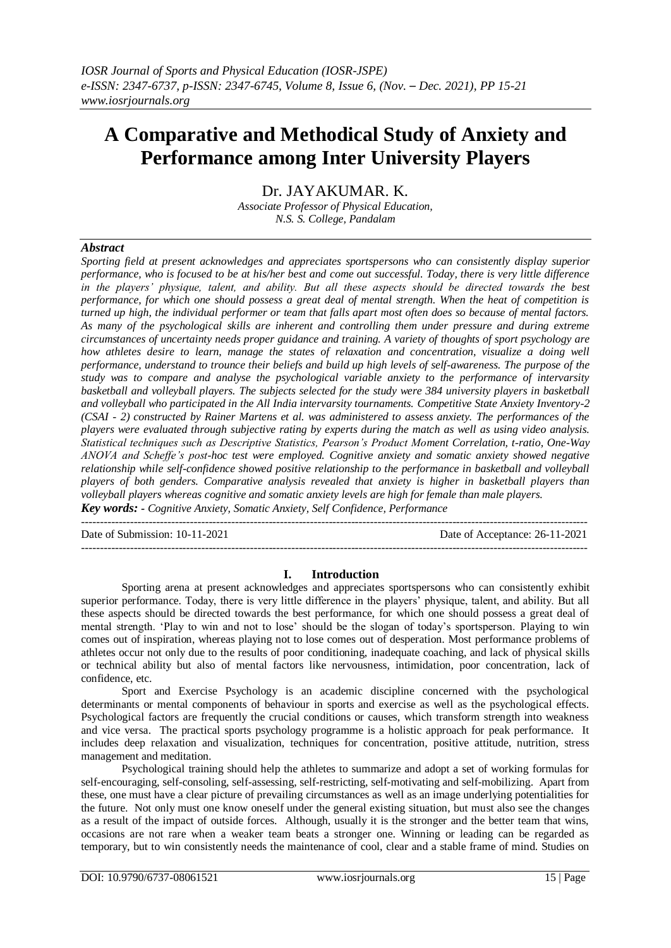# **A Comparative and Methodical Study of Anxiety and Performance among Inter University Players**

Dr. JAYAKUMAR. K.

*Associate Professor of Physical Education, N.S. S. College, Pandalam*

## *Abstract*

*Sporting field at present acknowledges and appreciates sportspersons who can consistently display superior performance, who is focused to be at his/her best and come out successful. Today, there is very little difference in the players' physique, talent, and ability. But all these aspects should be directed towards the best performance, for which one should possess a great deal of mental strength. When the heat of competition is turned up high, the individual performer or team that falls apart most often does so because of mental factors. As many of the psychological skills are inherent and controlling them under pressure and during extreme circumstances of uncertainty needs proper guidance and training. A variety of thoughts of sport psychology are how athletes desire to learn, manage the states of relaxation and concentration, visualize a doing well performance, understand to trounce their beliefs and build up high levels of self-awareness. The purpose of the study was to compare and analyse the psychological variable anxiety to the performance of intervarsity basketball and volleyball players. The subjects selected for the study were 384 university players in basketball and volleyball who participated in the All India intervarsity tournaments. Competitive State Anxiety Inventory-2 (CSAI - 2) constructed by Rainer Martens et al. was administered to assess anxiety. The performances of the players were evaluated through subjective rating by experts during the match as well as using video analysis. Statistical techniques such as Descriptive Statistics, Pearson's Product Moment Correlation, t-ratio, One-Way ANOVA and Scheffe's post-hoc test were employed. Cognitive anxiety and somatic anxiety showed negative relationship while self-confidence showed positive relationship to the performance in basketball and volleyball players of both genders. Comparative analysis revealed that anxiety is higher in basketball players than volleyball players whereas cognitive and somatic anxiety levels are high for female than male players. Key words: - Cognitive Anxiety, Somatic Anxiety, Self Confidence, Performance*

Date of Submission: 10-11-2021 Date of Acceptance: 26-11-2021

## **I. Introduction**

---------------------------------------------------------------------------------------------------------------------------------------

---------------------------------------------------------------------------------------------------------------------------------------

Sporting arena at present acknowledges and appreciates sportspersons who can consistently exhibit superior performance. Today, there is very little difference in the players' physique, talent, and ability. But all these aspects should be directed towards the best performance, for which one should possess a great deal of mental strength. 'Play to win and not to lose' should be the slogan of today's sportsperson. Playing to win comes out of inspiration, whereas playing not to lose comes out of desperation. Most performance problems of athletes occur not only due to the results of poor conditioning, inadequate coaching, and lack of physical skills or technical ability but also of mental factors like nervousness, intimidation, poor concentration, lack of confidence, etc.

Sport and Exercise Psychology is an academic discipline concerned with the psychological determinants or mental components of behaviour in sports and exercise as well as the psychological effects. Psychological factors are frequently the crucial conditions or causes, which transform strength into weakness and vice versa. The practical sports psychology programme is a holistic approach for peak performance. It includes deep relaxation and visualization, techniques for concentration, positive attitude, nutrition, stress management and meditation.

Psychological training should help the athletes to summarize and adopt a set of working formulas for self-encouraging, self-consoling, self-assessing, self-restricting, self-motivating and self-mobilizing. Apart from these, one must have a clear picture of prevailing circumstances as well as an image underlying potentialities for the future. Not only must one know oneself under the general existing situation, but must also see the changes as a result of the impact of outside forces. Although, usually it is the stronger and the better team that wins, occasions are not rare when a weaker team beats a stronger one. Winning or leading can be regarded as temporary, but to win consistently needs the maintenance of cool, clear and a stable frame of mind. Studies on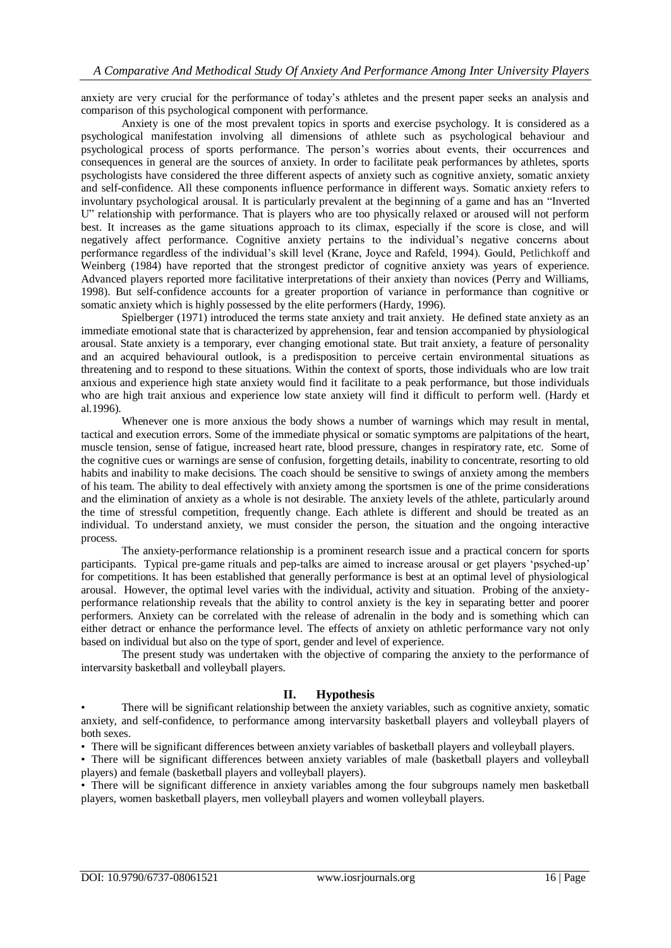anxiety are very crucial for the performance of today's athletes and the present paper seeks an analysis and comparison of this psychological component with performance.

Anxiety is one of the most prevalent topics in sports and exercise psychology. It is considered as a psychological manifestation involving all dimensions of athlete such as psychological behaviour and psychological process of sports performance. The person's worries about events, their occurrences and consequences in general are the sources of anxiety. In order to facilitate peak performances by athletes, sports psychologists have considered the three different aspects of anxiety such as cognitive anxiety, somatic anxiety and self-confidence. All these components influence performance in different ways. Somatic anxiety refers to involuntary psychological arousal. It is particularly prevalent at the beginning of a game and has an "Inverted U" relationship with performance. That is players who are too physically relaxed or aroused will not perform best. It increases as the game situations approach to its climax, especially if the score is close, and will negatively affect performance. Cognitive anxiety pertains to the individual's negative concerns about performance regardless of the individual's skill level (Krane, Joyce and Rafeld, 1994). Gould, Petlichkoff and Weinberg (1984) have reported that the strongest predictor of cognitive anxiety was years of experience. Advanced players reported more facilitative interpretations of their anxiety than novices (Perry and Williams, 1998). But self-confidence accounts for a greater proportion of variance in performance than cognitive or somatic anxiety which is highly possessed by the elite performers (Hardy, 1996).

Spielberger (1971) introduced the terms state anxiety and trait anxiety. He defined state anxiety as an immediate emotional state that is characterized by apprehension, fear and tension accompanied by physiological arousal. State anxiety is a temporary, ever changing emotional state. But trait anxiety, a feature of personality and an acquired behavioural outlook, is a predisposition to perceive certain environmental situations as threatening and to respond to these situations. Within the context of sports, those individuals who are low trait anxious and experience high state anxiety would find it facilitate to a peak performance, but those individuals who are high trait anxious and experience low state anxiety will find it difficult to perform well. (Hardy et al.1996).

Whenever one is more anxious the body shows a number of warnings which may result in mental, tactical and execution errors. Some of the immediate physical or somatic symptoms are palpitations of the heart, muscle tension, sense of fatigue, increased heart rate, blood pressure, changes in respiratory rate, etc. Some of the cognitive cues or warnings are sense of confusion, forgetting details, inability to concentrate, resorting to old habits and inability to make decisions. The coach should be sensitive to swings of anxiety among the members of his team. The ability to deal effectively with anxiety among the sportsmen is one of the prime considerations and the elimination of anxiety as a whole is not desirable. The anxiety levels of the athlete, particularly around the time of stressful competition, frequently change. Each athlete is different and should be treated as an individual. To understand anxiety, we must consider the person, the situation and the ongoing interactive process.

The anxiety-performance relationship is a prominent research issue and a practical concern for sports participants. Typical pre-game rituals and pep-talks are aimed to increase arousal or get players 'psyched-up' for competitions. It has been established that generally performance is best at an optimal level of physiological arousal. However, the optimal level varies with the individual, activity and situation. Probing of the anxietyperformance relationship reveals that the ability to control anxiety is the key in separating better and poorer performers. Anxiety can be correlated with the release of adrenalin in the body and is something which can either detract or enhance the performance level. The effects of anxiety on athletic performance vary not only based on individual but also on the type of sport, gender and level of experience.

The present study was undertaken with the objective of comparing the anxiety to the performance of intervarsity basketball and volleyball players.

#### **II. Hypothesis**

• There will be significant relationship between the anxiety variables, such as cognitive anxiety, somatic anxiety, and self-confidence, to performance among intervarsity basketball players and volleyball players of both sexes.

• There will be significant differences between anxiety variables of basketball players and volleyball players.

• There will be significant differences between anxiety variables of male (basketball players and volleyball players) and female (basketball players and volleyball players).

• There will be significant difference in anxiety variables among the four subgroups namely men basketball players, women basketball players, men volleyball players and women volleyball players.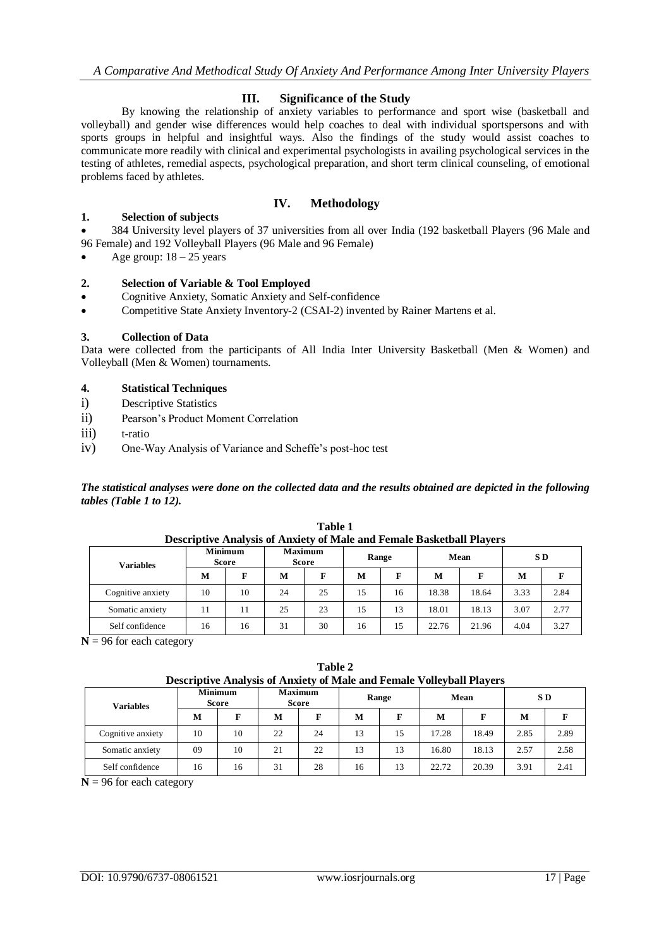## **III. Significance of the Study**

By knowing the relationship of anxiety variables to performance and sport wise (basketball and volleyball) and gender wise differences would help coaches to deal with individual sportspersons and with sports groups in helpful and insightful ways. Also the findings of the study would assist coaches to communicate more readily with clinical and experimental psychologists in availing psychological services in the testing of athletes, remedial aspects, psychological preparation, and short term clinical counseling, of emotional problems faced by athletes.

## **IV. Methodology**

## **1. Selection of subjects**

 384 University level players of 37 universities from all over India (192 basketball Players (96 Male and 96 Female) and 192 Volleyball Players (96 Male and 96 Female)

Age group:  $18 - 25$  years

## **2. Selection of Variable & Tool Employed**

- Cognitive Anxiety, Somatic Anxiety and Self-confidence
- Competitive State Anxiety Inventory-2 (CSAI-2) invented by Rainer Martens et al.

## **3. Collection of Data**

Data were collected from the participants of All India Inter University Basketball (Men & Women) and Volleyball (Men & Women) tournaments.

## **4. Statistical Techniques**

- i) Descriptive Statistics
- ii) Pearson's Product Moment Correlation
- iii) t-ratio
- iv) One-Way Analysis of Variance and Scheffe's post-hoc test

*The statistical analyses were done on the collected data and the results obtained are depicted in the following tables (Table 1 to 12).*

| <b>Variables</b>  | <b>Minimum</b> | <b>Score</b> |    | <b>Maximum</b><br>Score | Range |    | Mean  |       | S D  |      |
|-------------------|----------------|--------------|----|-------------------------|-------|----|-------|-------|------|------|
|                   | M              |              | M  | F                       | М     |    | M     | F     | M    |      |
| Cognitive anxiety | 10             | 10           | 24 | 25                      | 15    | 16 | 18.38 | 18.64 | 3.33 | 2.84 |
| Somatic anxiety   | 11             |              | 25 | 23                      | 15    | 13 | 18.01 | 18.13 | 3.07 | 2.77 |
| Self confidence   | 16             | 16           | 31 | 30                      | 16    | 15 | 22.76 | 21.96 | 4.04 | 3.27 |

**Table 1 Descriptive Analysis of Anxiety of Male and Female Basketball Players**

 $N = 96$  for each category

**Table 2 Descriptive Analysis of Anxiety of Male and Female Volleyball Players**

| Variables         |    | <b>Minimum</b><br><b>Score</b> | <b>Maximum</b><br><b>Score</b> |    | Range |    | Mean  |       | S D  |      |
|-------------------|----|--------------------------------|--------------------------------|----|-------|----|-------|-------|------|------|
|                   | M  | г                              | M                              | г  | M     |    | M     | F     | М    | F    |
| Cognitive anxiety | 10 | 10                             | 22                             | 24 | 13    | 15 | 17.28 | 18.49 | 2.85 | 2.89 |
| Somatic anxiety   | 09 | 10                             | 21                             | 22 | 13    | 13 | 16.80 | 18.13 | 2.57 | 2.58 |
| Self confidence   | 16 | 16                             | 31                             | 28 | 16    | 13 | 22.72 | 20.39 | 3.91 | 2.41 |

 $N = 96$  for each category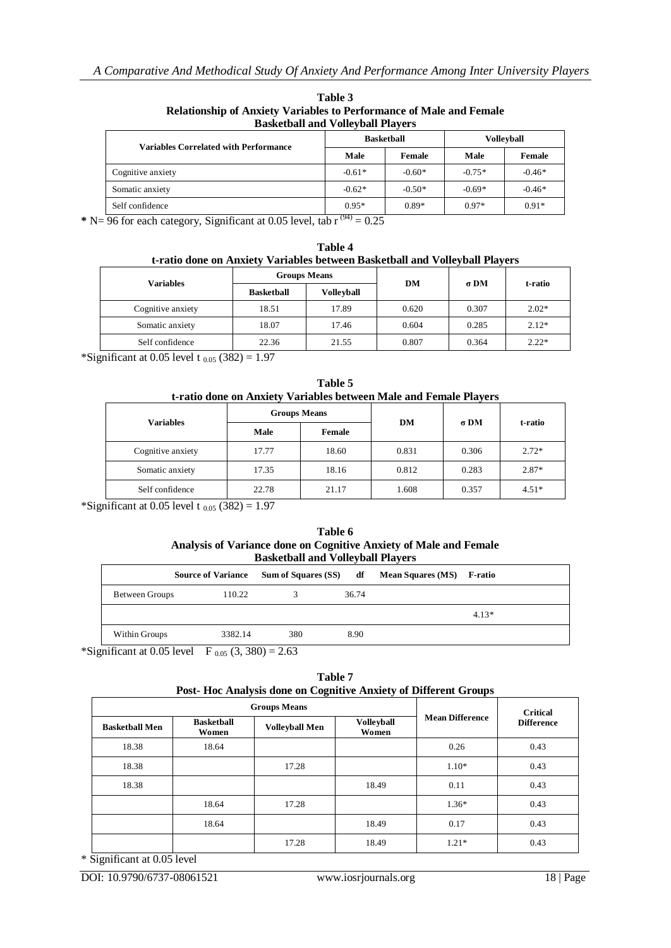| <b>Basketball and Volleyball Players</b>     |                       |                   |                   |          |  |
|----------------------------------------------|-----------------------|-------------------|-------------------|----------|--|
| <b>Variables Correlated with Performance</b> |                       | <b>Basketball</b> | <b>Volleyball</b> |          |  |
|                                              | Male                  | Female            | Male              | Female   |  |
| Cognitive anxiety                            | $-0.61*$              | $-0.60*$          | $-0.75*$          | $-0.46*$ |  |
| Somatic anxiety                              | $-0.62*$              | $-0.50*$          | $-0.69*$          | $-0.46*$ |  |
| Self confidence                              | $0.95*$<br>$\sqrt{2}$ | $0.89*$           | $0.97*$           | $0.91*$  |  |

**Table 3 Relationship of Anxiety Variables to Performance of Male and Female** 

 $*$  N=  $\frac{96}{6}$  for each category, Significant at 0.05 level, tab r  $(94)$  = 0.25

| Table 4                                                                     |  |  |
|-----------------------------------------------------------------------------|--|--|
| t-ratio done on Anxiety Variables between Basketball and Volleyball Players |  |  |
|                                                                             |  |  |

| <b>Variables</b>  | <b>Groups Means</b> |                   | DM    | $\sigma$ DM | t-ratio |
|-------------------|---------------------|-------------------|-------|-------------|---------|
|                   | <b>Basketball</b>   | <b>Volleyball</b> |       |             |         |
| Cognitive anxiety | 18.51               | 17.89             | 0.620 | 0.307       | $2.02*$ |
| Somatic anxiety   | 18.07               | 17.46             | 0.604 | 0.285       | $2.12*$ |
| Self confidence   | 22.36               | 21.55             | 0.807 | 0.364       | $2.22*$ |

\*Significant at 0.05 level t  $_{0.05}$  (382) = 1.97

| Table 5                                                           |  |
|-------------------------------------------------------------------|--|
| t-ratio done on Anxiety Variables between Male and Female Players |  |

| <b>Variables</b>  | <b>Groups Means</b> |        | DM    | $\sigma$ DM | t-ratio |
|-------------------|---------------------|--------|-------|-------------|---------|
|                   | Male                | Female |       |             |         |
| Cognitive anxiety | 17.77               | 18.60  | 0.831 | 0.306       | $2.72*$ |
| Somatic anxiety   | 17.35               | 18.16  | 0.812 | 0.283       | $2.87*$ |
| Self confidence   | 22.78               | 21.17  | 1.608 | 0.357       | $4.51*$ |

\*Significant at 0.05 level t  $_{0.05}$  (382) = 1.97

| Table 6                                                           |
|-------------------------------------------------------------------|
| Analysis of Variance done on Cognitive Anxiety of Male and Female |
| <b>Basketball and Volleyball Players</b>                          |

|                | <b>Source of Variance</b> | <b>Sum of Squares (SS)</b> | df    | <b>Mean Squares (MS)</b> | F-ratio |
|----------------|---------------------------|----------------------------|-------|--------------------------|---------|
| Between Groups | 110.22                    |                            | 36.74 |                          |         |
|                |                           |                            |       |                          | $4.13*$ |
| Within Groups  | 3382.14                   | 380                        | 8.90  |                          |         |

\*Significant at 0.05 level F  $_{0.05}$  (3, 380) = 2.63

| Table 7                                                         |  |
|-----------------------------------------------------------------|--|
| Post-Hoc Analysis done on Cognitive Anxiety of Different Groups |  |

|                       |                            | <b>Groups Means</b>   |                            |                        | <b>Critical</b>   |  |
|-----------------------|----------------------------|-----------------------|----------------------------|------------------------|-------------------|--|
| <b>Basketball Men</b> | <b>Basketball</b><br>Women | <b>Volleyball Men</b> | <b>Volleyball</b><br>Women | <b>Mean Difference</b> | <b>Difference</b> |  |
| 18.38                 | 18.64                      |                       |                            | 0.26                   | 0.43              |  |
| 18.38                 |                            | 17.28                 |                            | $1.10*$                | 0.43              |  |
| 18.38                 |                            |                       | 18.49                      | 0.11                   | 0.43              |  |
|                       | 18.64                      | 17.28                 |                            | $1.36*$                | 0.43              |  |
|                       | 18.64                      |                       | 18.49                      | 0.17                   | 0.43              |  |
|                       |                            | 17.28                 | 18.49                      | $1.21*$                | 0.43              |  |

\* Significant at 0.05 level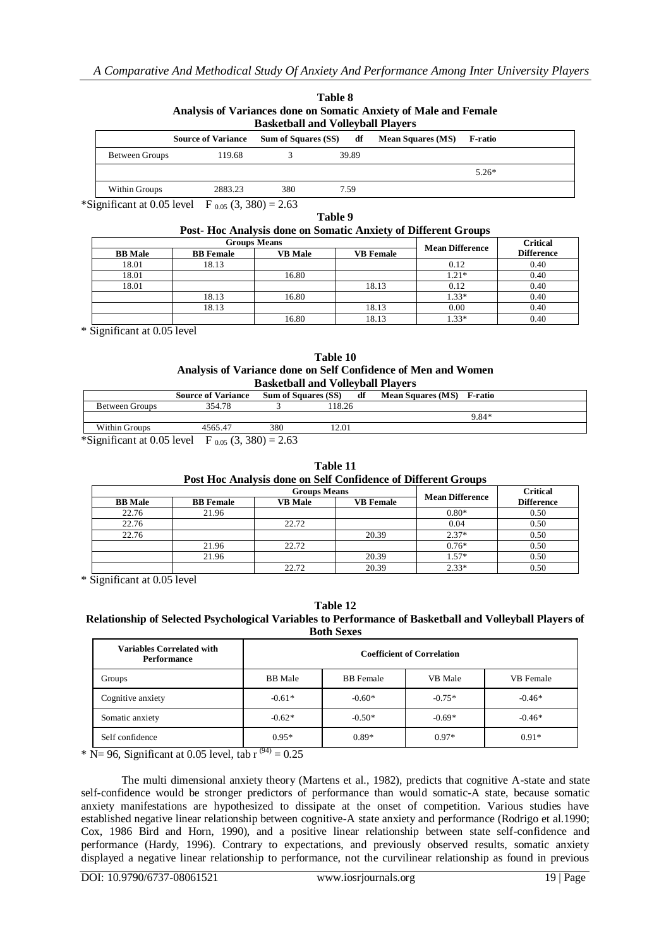| .<br>Analysis of Variances done on Somatic Anxiety of Male and Female<br><b>Basketball and Volleyball Players</b> |                           |                            |  |       |                          |                |  |  |  |
|-------------------------------------------------------------------------------------------------------------------|---------------------------|----------------------------|--|-------|--------------------------|----------------|--|--|--|
|                                                                                                                   | <b>Source of Variance</b> | <b>Sum of Squares (SS)</b> |  | df    | <b>Mean Squares (MS)</b> | <b>F-ratio</b> |  |  |  |
| Between Groups                                                                                                    | 119.68                    |                            |  | 39.89 |                          |                |  |  |  |
|                                                                                                                   |                           |                            |  |       |                          | $5.26*$        |  |  |  |
| Within Groups                                                                                                     | 2883.23                   | 380                        |  | 7.59  |                          |                |  |  |  |

**Table 8**

\*Significant at 0.05 level F  $_{0.05}$  (3, 380) = 2.63

#### **Table 9 Post- Hoc Analysis done on Somatic Anxiety of Different Groups**

|                | <b>Groups Means</b> |                |                  |                        | <b>Critical</b>   |
|----------------|---------------------|----------------|------------------|------------------------|-------------------|
| <b>BB</b> Male | <b>BB</b> Female    | <b>VB</b> Male | <b>VB</b> Female | <b>Mean Difference</b> | <b>Difference</b> |
| 18.01          | 18.13               |                |                  | 0.12                   | 0.40              |
| 18.01          |                     | 16.80          |                  | $1.21*$                | 0.40              |
| 18.01          |                     |                | 18.13            | 0.12                   | 0.40              |
|                | 18.13               | 16.80          |                  | $1.33*$                | 0.40              |
|                | 18.13               |                | 18.13            | 0.00                   | 0.40              |
|                |                     | 16.80          | 18.13            | $1.33*$                | 0.40              |

\* Significant at 0.05 level

| Table 10                                                      |
|---------------------------------------------------------------|
| Analysis of Variance done on Self Confidence of Men and Women |
| <b>Basketball and Volleyball Players</b>                      |

| Dasiverball and vollevball I lavely                                                                                 |                           |     |                            |    |                           |       |  |
|---------------------------------------------------------------------------------------------------------------------|---------------------------|-----|----------------------------|----|---------------------------|-------|--|
|                                                                                                                     | <b>Source of Variance</b> |     | <b>Sum of Squares (SS)</b> | df | Mean Squares (MS) F-ratio |       |  |
| Between Groups                                                                                                      | 354.78                    |     | 18.26                      |    |                           |       |  |
|                                                                                                                     |                           |     |                            |    |                           | 9.84* |  |
| Within Groups                                                                                                       | 456547                    | 380 | 12.01                      |    |                           |       |  |
| $\mathcal{L}(\mathbf{C})$ is the contract of $\mathcal{L}(\mathbf{C})$ in the contract of $\mathcal{L}(\mathbf{C})$ |                           |     |                            |    |                           |       |  |

\*Significant at 0.05 level F  $_{0.05}$  (3, 380) = 2.63

|                                                               |  | Table 11 |  |
|---------------------------------------------------------------|--|----------|--|
| Post Hoc Analysis done on Self Confidence of Different Groups |  |          |  |
|                                                               |  |          |  |

|                |                  | <b>Groups Means</b> |                  | <b>Mean Difference</b> | <b>Critical</b>   |
|----------------|------------------|---------------------|------------------|------------------------|-------------------|
| <b>BB</b> Male | <b>BB</b> Female | <b>VB Male</b>      | <b>VB Female</b> |                        | <b>Difference</b> |
| 22.76          | 21.96            |                     |                  | $0.80*$                | 0.50              |
| 22.76          |                  | 22.72               |                  | 0.04                   | 0.50              |
| 22.76          |                  |                     | 20.39            | $2.37*$                | 0.50              |
|                | 21.96            | 22.72               |                  | $0.76*$                | 0.50              |
|                | 21.96            |                     | 20.39            | $1.57*$                | 0.50              |
|                |                  | 22.72               | 20.39            | $2.33*$                | 0.50              |

\* Significant at 0.05 level

**Table 12**

#### **Relationship of Selected Psychological Variables to Performance of Basketball and Volleyball Players of Both Sexes**

| <b>Variables Correlated with</b><br><b>Performance</b> | <b>Coefficient of Correlation</b> |                  |          |           |  |  |  |
|--------------------------------------------------------|-----------------------------------|------------------|----------|-----------|--|--|--|
| Groups                                                 | <b>BB</b> Male                    | <b>BB</b> Female | VB Male  | VB Female |  |  |  |
| Cognitive anxiety                                      | $-0.61*$                          | $-0.60*$         | $-0.75*$ | $-0.46*$  |  |  |  |
| Somatic anxiety                                        | $-0.62*$                          | $-0.50*$         | $-0.69*$ | $-0.46*$  |  |  |  |
| Self confidence                                        | $0.95*$<br>$\sqrt{2}$             | $0.89*$          | $0.97*$  | $0.91*$   |  |  |  |

\* N= 96, Significant at 0.05 level, tab  $r^{(94)} = 0.25$ 

The multi dimensional anxiety theory (Martens et al., 1982), predicts that cognitive A-state and state self-confidence would be stronger predictors of performance than would somatic-A state, because somatic anxiety manifestations are hypothesized to dissipate at the onset of competition. Various studies have established negative linear relationship between cognitive-A state anxiety and performance (Rodrigo et al.1990; Cox, 1986 Bird and Horn, 1990), and a positive linear relationship between state self-confidence and performance (Hardy, 1996). Contrary to expectations, and previously observed results, somatic anxiety displayed a negative linear relationship to performance, not the curvilinear relationship as found in previous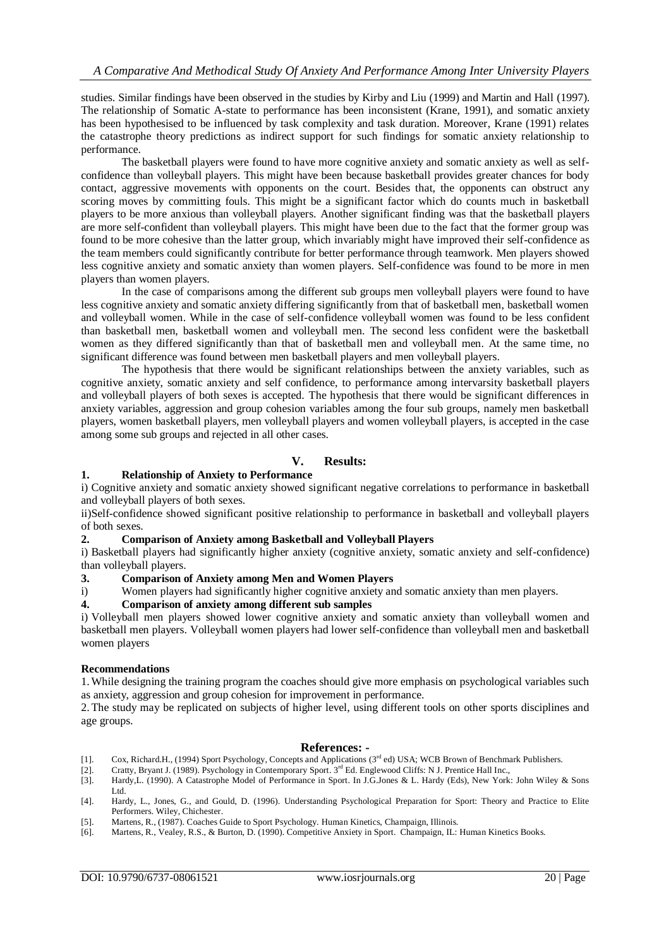studies. Similar findings have been observed in the studies by Kirby and Liu (1999) and Martin and Hall (1997). The relationship of Somatic A-state to performance has been inconsistent (Krane, 1991), and somatic anxiety has been hypothesised to be influenced by task complexity and task duration. Moreover, Krane (1991) relates the catastrophe theory predictions as indirect support for such findings for somatic anxiety relationship to performance.

The basketball players were found to have more cognitive anxiety and somatic anxiety as well as selfconfidence than volleyball players. This might have been because basketball provides greater chances for body contact, aggressive movements with opponents on the court. Besides that, the opponents can obstruct any scoring moves by committing fouls. This might be a significant factor which do counts much in basketball players to be more anxious than volleyball players. Another significant finding was that the basketball players are more self-confident than volleyball players. This might have been due to the fact that the former group was found to be more cohesive than the latter group, which invariably might have improved their self-confidence as the team members could significantly contribute for better performance through teamwork. Men players showed less cognitive anxiety and somatic anxiety than women players. Self-confidence was found to be more in men players than women players.

In the case of comparisons among the different sub groups men volleyball players were found to have less cognitive anxiety and somatic anxiety differing significantly from that of basketball men, basketball women and volleyball women. While in the case of self-confidence volleyball women was found to be less confident than basketball men, basketball women and volleyball men. The second less confident were the basketball women as they differed significantly than that of basketball men and volleyball men. At the same time, no significant difference was found between men basketball players and men volleyball players.

The hypothesis that there would be significant relationships between the anxiety variables, such as cognitive anxiety, somatic anxiety and self confidence, to performance among intervarsity basketball players and volleyball players of both sexes is accepted. The hypothesis that there would be significant differences in anxiety variables, aggression and group cohesion variables among the four sub groups, namely men basketball players, women basketball players, men volleyball players and women volleyball players, is accepted in the case among some sub groups and rejected in all other cases.

## **V. Results:**

#### **1. Relationship of Anxiety to Performance**

i) Cognitive anxiety and somatic anxiety showed significant negative correlations to performance in basketball and volleyball players of both sexes.

ii)Self-confidence showed significant positive relationship to performance in basketball and volleyball players of both sexes.

#### **2. Comparison of Anxiety among Basketball and Volleyball Players**

i) Basketball players had significantly higher anxiety (cognitive anxiety, somatic anxiety and self-confidence) than volleyball players.

**3. Comparison of Anxiety among Men and Women Players**

i) Women players had significantly higher cognitive anxiety and somatic anxiety than men players.

#### **4. Comparison of anxiety among different sub samples**

i) Volleyball men players showed lower cognitive anxiety and somatic anxiety than volleyball women and basketball men players. Volleyball women players had lower self-confidence than volleyball men and basketball women players

#### **Recommendations**

1.While designing the training program the coaches should give more emphasis on psychological variables such as anxiety, aggression and group cohesion for improvement in performance.

2. The study may be replicated on subjects of higher level, using different tools on other sports disciplines and age groups.

#### **References: -**

- [1]. Cox, Richard.H., (1994) Sport Psychology, Concepts and Applications (3rd ed) USA; WCB Brown of Benchmark Publishers.
- Faxty, Bryant J. (1989). Psychology in Contemporary Sport. 3<sup>rd</sup> Ed. Englewood Cliffs: N J. Prentice Hall Inc., [3]. Franty, Eryant J. (1989). Psychology in Contemporary Sport. 3<sup>rd</sup> Ed. Englewood Cliffs: N J. Prentice Hal
- Hardy,L. (1990). A Catastrophe Model of Performance in Sport. In J.G.Jones & L. Hardy (Eds), New York: John Wiley & Sons Ltd.
- [4]. Hardy, L., Jones, G., and Gould, D. (1996). Understanding Psychological Preparation for Sport: Theory and Practice to Elite Performers. Wiley, Chichester.
- [5]. Martens, R., (1987). Coaches Guide to Sport Psychology. Human Kinetics, Champaign, Illinois.<br>[6]. Martens, R., Vealey, R.S., & Burton, D. (1990). Competitive Anxiety in Sport. Champaign, II.:
- [6]. Martens, R., Vealey, R.S., & Burton, D. (1990). Competitive Anxiety in Sport. Champaign, IL: Human Kinetics Books.